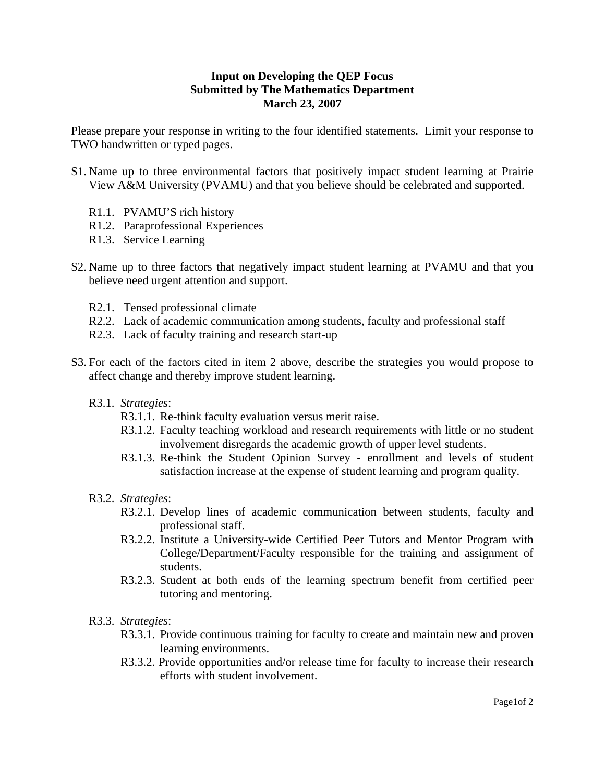## **Input on Developing the QEP Focus Submitted by The Mathematics Department March 23, 2007**

Please prepare your response in writing to the four identified statements. Limit your response to TWO handwritten or typed pages.

- S1. Name up to three environmental factors that positively impact student learning at Prairie View A&M University (PVAMU) and that you believe should be celebrated and supported.
	- R1.1. PVAMU'S rich history
	- R1.2. Paraprofessional Experiences
	- R1.3. Service Learning
- S2. Name up to three factors that negatively impact student learning at PVAMU and that you believe need urgent attention and support.
	- R2.1. Tensed professional climate
	- R2.2. Lack of academic communication among students, faculty and professional staff
	- R2.3. Lack of faculty training and research start-up
- S3. For each of the factors cited in item 2 above, describe the strategies you would propose to affect change and thereby improve student learning.
	- R3.1. *Strategies*:
		- R3.1.1. Re-think faculty evaluation versus merit raise.
		- R3.1.2. Faculty teaching workload and research requirements with little or no student involvement disregards the academic growth of upper level students.
		- R3.1.3. Re-think the Student Opinion Survey enrollment and levels of student satisfaction increase at the expense of student learning and program quality.
	- R3.2. *Strategies*:
		- R3.2.1. Develop lines of academic communication between students, faculty and professional staff.
		- R3.2.2. Institute a University-wide Certified Peer Tutors and Mentor Program with College/Department/Faculty responsible for the training and assignment of students.
		- R3.2.3. Student at both ends of the learning spectrum benefit from certified peer tutoring and mentoring.
	- R3.3. *Strategies*:
		- R3.3.1. Provide continuous training for faculty to create and maintain new and proven learning environments.
		- R3.3.2. Provide opportunities and/or release time for faculty to increase their research efforts with student involvement.